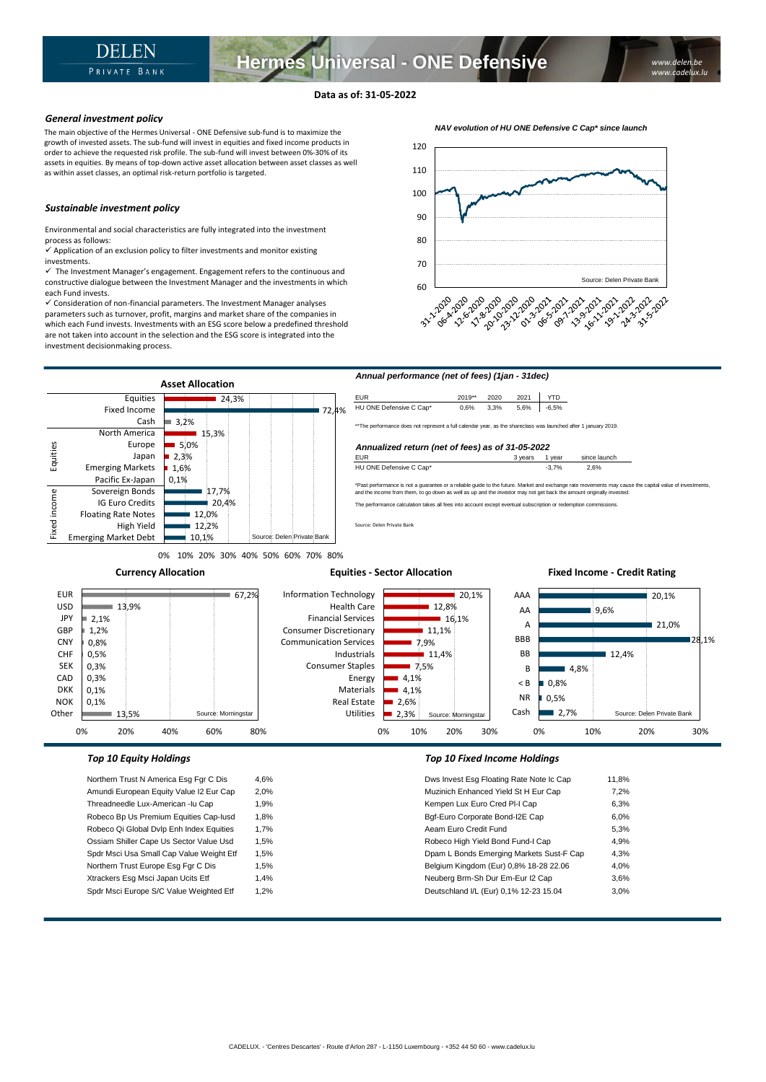## **Data as of: 31-05-2022**

## *General investment policy*

The main objective of the Hermes Universal - ONE Defensive sub-fund is to maximize the growth of invested assets. The sub-fund will invest in equities and fixed income products in order to achieve the requested risk profile. The sub-fund will invest between 0%-30% of its assets in equities. By means of top-down active asset allocation between asset classes as well as within asset classes, an optimal risk-return portfolio is targeted.

## *Sustainable investment policy*

Environmental and social characteristics are fully integrated into the investment process as follows:

 $\checkmark$  Application of an exclusion policy to filter investments and monitor existing investments.

 $\checkmark$  The Investment Manager's engagement. Engagement refers to the continuous and constructive dialogue between the Investment Manager and the investments in which each Fund invests.

✓ Consideration of non-financial parameters. The Investment Manager analyses parameters such as turnover, profit, margins and market share of the companies in which each Fund invests. Investments with an ESG score below a predefined threshold are not taken into account in the selection and the ESG score is integrated into the investment decisionmaking process.





0% 10% 20% 30% 40% 50% 60% 70% 80%

**Currency Allocation**

### **Equities - Sector Allocation**

### 20,1% ■ 9.6% 21.0% 28,1%  $12.4%$  $-4.8%$ 0,8% 0,5%  $2.7%$ AAA AA A BBB BB B < B NR Cash Source: Delen Private Bank 20,1%  $12,8%$  $16,1%$  $11,1%$ 7,9%  $11.4%$ 7,5% 4,1% 4,1%  $2.6%$ 2,3% Information Technology Health Care Financial Services Consumer Discretionary Communication Services Industrials Consumer Staples Energy Materials Real Estate Utilities Source: Morningstar  $\overline{67,2\%}$ 13,9% 2,1% 1,2% 0,8% 0,5% 0,3% 0,3% 0,1% 0,1% 13,5% EUR USD **JPY** GBP CNY CHF SEK CAD DKK NOK **Other** Source: Morningstar

0% 10% 20% 30%

Northern Trust N America Esg Fgr C Dis 4,6% Amundi European Equity Value I2 Eur Cap 2,0% Threadneedle Lux-American -lu Cap 1,9% Robeco Bp Us Premium Equities Cap-Iusd 1,8% Robeco Qi Global Dvlp Enh Index Equities 1,7% Ossiam Shiller Cape Us Sector Value Usd 1,5% Spdr Msci Usa Small Cap Value Weight Etf 1,5% Northern Trust Europe Esg Fgr C Dis 1,5% Xtrackers Esg Msci Japan Ucits Etf 1,4% Spdr Msci Europe S/C Value Weighted Etf 1,2%

0% 20% 40% 60% 80%

## *Top 10 Equity Holdings Top 10 Fixed Income Holdings*

| Dws Invest Esg Floating Rate Note Ic Cap | 11.8% |
|------------------------------------------|-------|
| Muzinich Enhanced Yield St H Eur Cap     | 7.2%  |
| Kempen Lux Euro Cred PI-I Cap            | 6.3%  |
| Bgf-Euro Corporate Bond-I2E Cap          | 6.0%  |
| Aeam Euro Credit Fund                    | 5.3%  |
| Robeco High Yield Bond Fund-I Cap        | 4.9%  |
| Dpam L Bonds Emerging Markets Sust-F Cap | 4.3%  |
| Belgium Kingdom (Eur) 0,8% 18-28 22.06   | 4.0%  |
| Neuberg Brm-Sh Dur Em-Eur I2 Cap         | 3.6%  |
| Deutschland I/L (Eur) 0,1% 12-23 15.04   | 3.0%  |
|                                          |       |

0% 10% 20% 30%

**Fixed Income - Credit Rating**